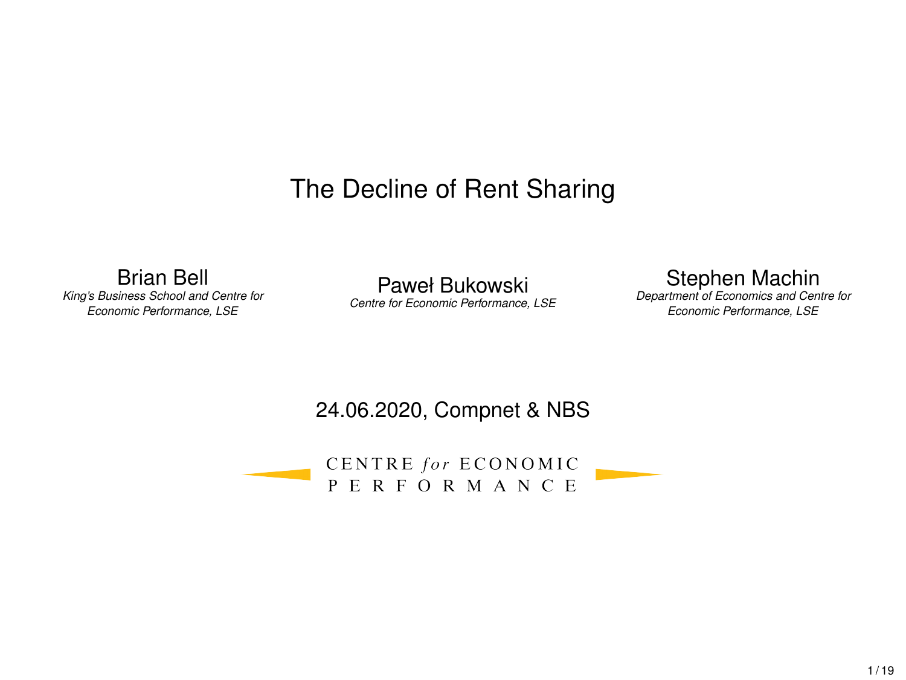# The Decline of Rent Sharing

<span id="page-0-0"></span>Brian Bell *King's Business School and Centre for Economic Performance, LSE*

Paweł Bukowski *Centre for Economic Performance, LSE* Stephen Machin

*Department of Economics and Centre for Economic Performance, LSE*

#### 24.06.2020, Compnet & NBS

CENTRE for ECONOMIC **PERFORMANCE**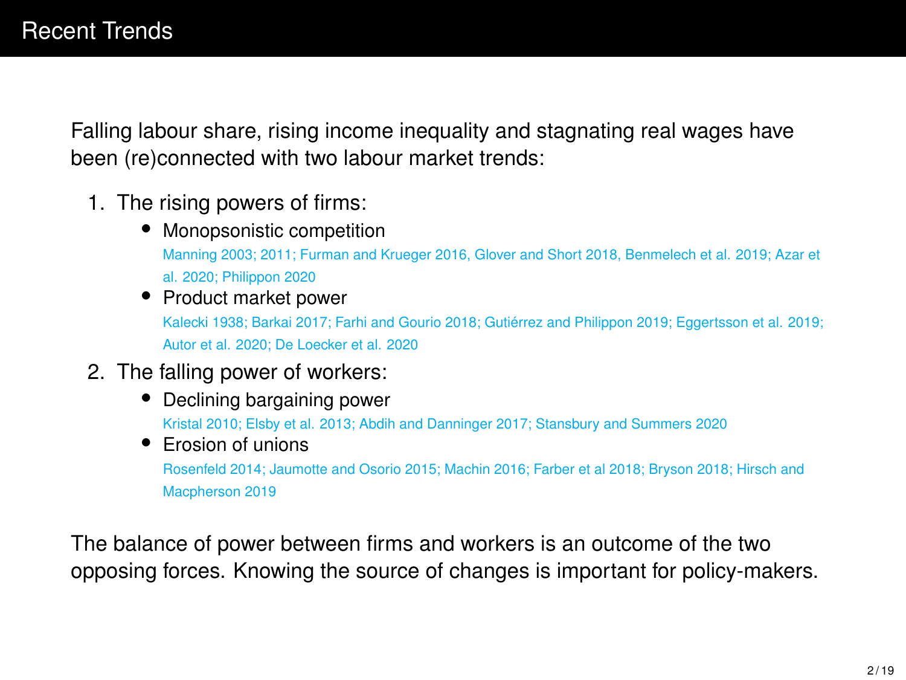<span id="page-1-0"></span>Falling labour share, rising income inequality and stagnating real wages have been (re)connected with two labour market trends:

- 1. The rising powers of firms:
	- Monopsonistic competition Manning 2003; 2011; Furman and Krueger 2016, Glover and Short 2018, Benmelech et al. 2019; Azar et al. 2020; Philippon 2020
	- Product market power Kalecki 1938; Barkai 2017; Farhi and Gourio 2018; Gutiérrez and Philippon 2019; Eggertsson et al. 2019; Autor et al. 2020; De Loecker et al. 2020
- 2. The falling power of workers:
	- Declining bargaining power Kristal 2010; Elsby et al. 2013; Abdih and Danninger 2017; Stansbury and Summers 2020
	- Erosion of unions Rosenfeld 2014; Jaumotte and Osorio 2015; Machin 2016; Farber et al 2018; Bryson 2018; Hirsch and Macpherson 2019

The balance of power between firms and workers is an outcome of the two opposing forces. Knowing the source of changes is important for policy-makers.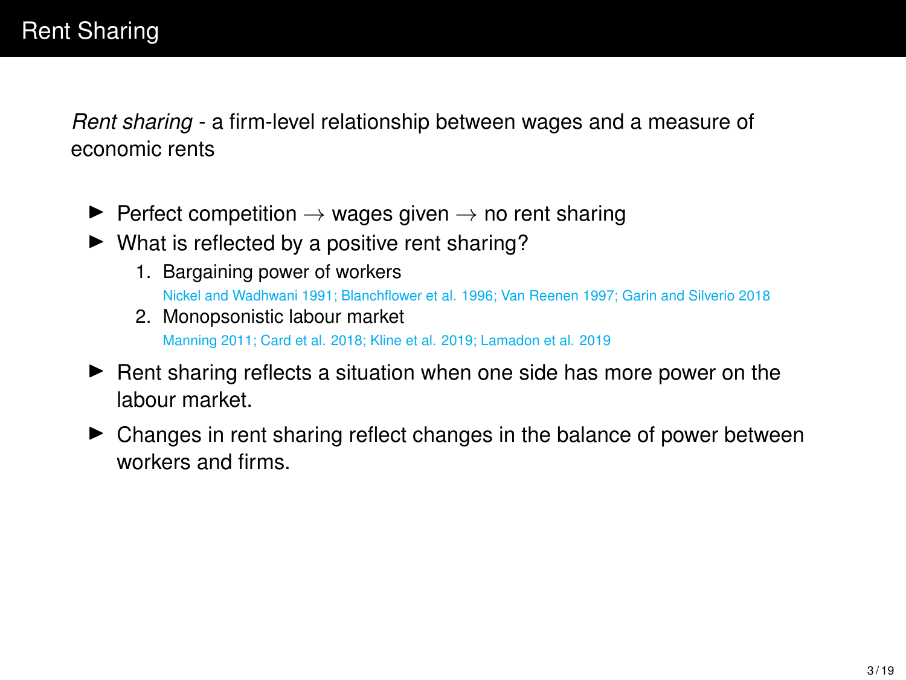*Rent sharing* - a firm-level relationship between wages and a measure of economic rents

- $\triangleright$  Perfect competition  $\rightarrow$  wages given  $\rightarrow$  no rent sharing
- $\blacktriangleright$  What is reflected by a positive rent sharing?
	- 1. Bargaining power of workers Nickel and Wadhwani 1991; Blanchflower et al. 1996; Van Reenen 1997; Garin and Silverio 2018
	- 2. Monopsonistic labour market Manning 2011; Card et al. 2018; Kline et al. 2019; Lamadon et al. 2019
- $\blacktriangleright$  Rent sharing reflects a situation when one side has more power on the labour market.
- $\triangleright$  Changes in rent sharing reflect changes in the balance of power between workers and firms.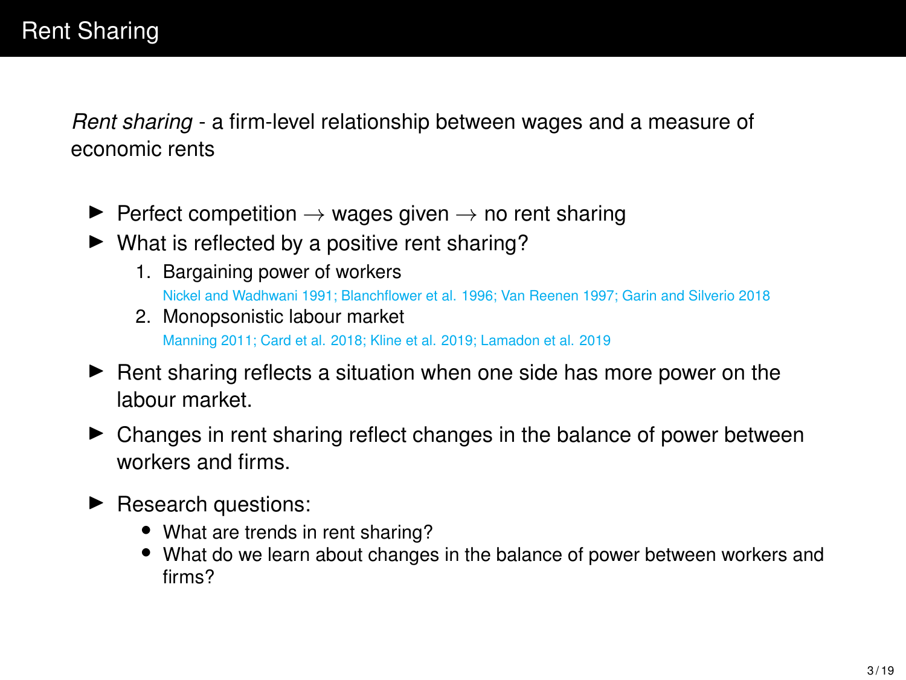*Rent sharing* - a firm-level relationship between wages and a measure of economic rents

- $\triangleright$  Perfect competition  $\rightarrow$  wages given  $\rightarrow$  no rent sharing
- $\blacktriangleright$  What is reflected by a positive rent sharing?
	- 1. Bargaining power of workers Nickel and Wadhwani 1991; Blanchflower et al. 1996; Van Reenen 1997; Garin and Silverio 2018
	- 2. Monopsonistic labour market Manning 2011; Card et al. 2018; Kline et al. 2019; Lamadon et al. 2019
- $\blacktriangleright$  Rent sharing reflects a situation when one side has more power on the labour market.
- $\triangleright$  Changes in rent sharing reflect changes in the balance of power between workers and firms.
- $\blacktriangleright$  Research questions:
	- What are trends in rent sharing?
	- What do we learn about changes in the balance of power between workers and firms?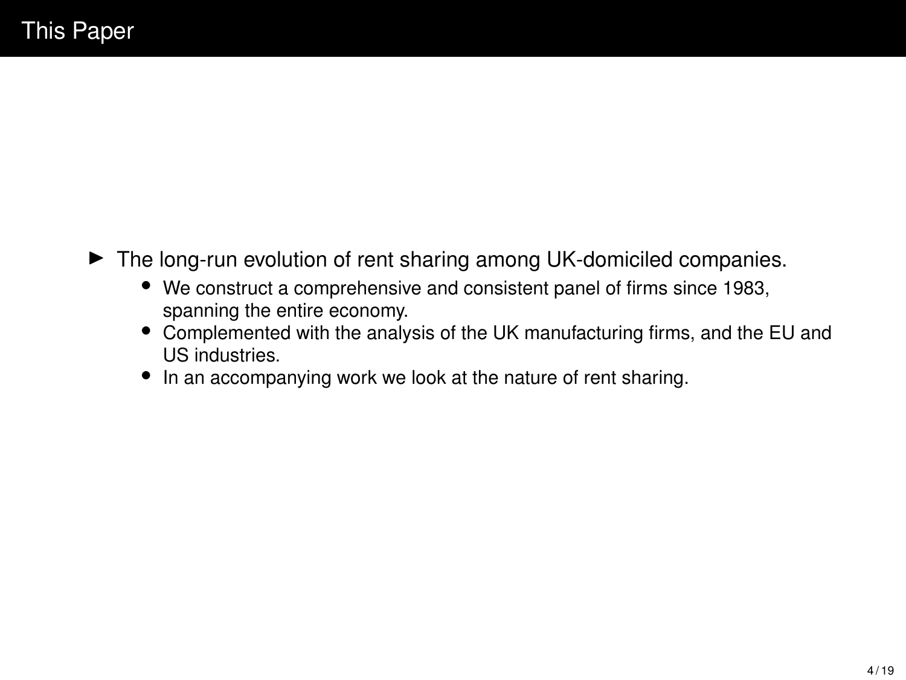- $\blacktriangleright$  The long-run evolution of rent sharing among UK-domiciled companies.
	- We construct a comprehensive and consistent panel of firms since 1983, spanning the entire economy.
	- Complemented with the analysis of the UK manufacturing firms, and the EU and US industries.
	- In an accompanying work we look at the nature of rent sharing.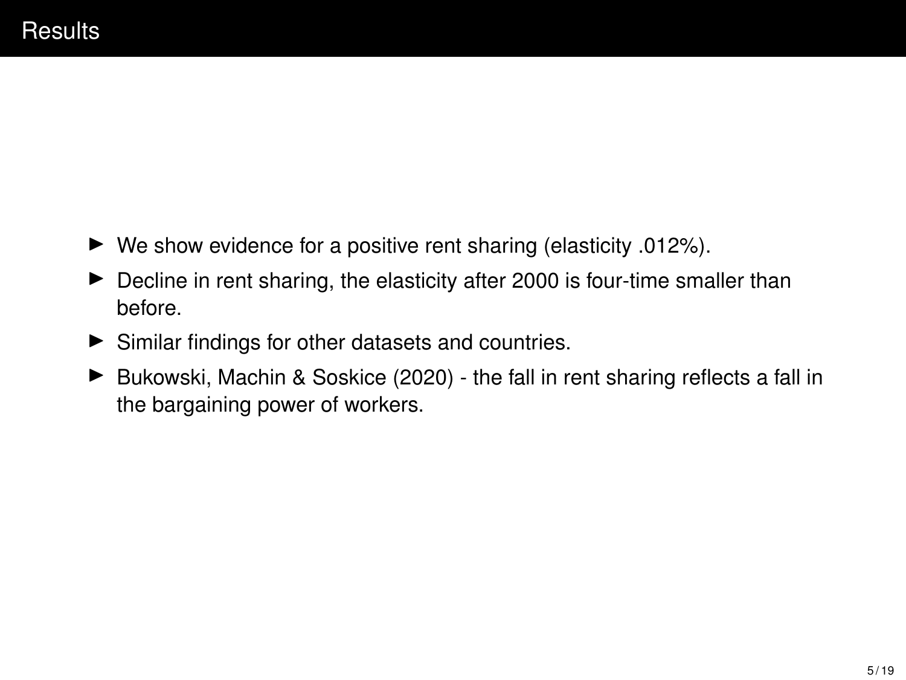- $\blacktriangleright$  We show evidence for a positive rent sharing (elasticity .012%).
- $\blacktriangleright$  Decline in rent sharing, the elasticity after 2000 is four-time smaller than before.
- $\blacktriangleright$  Similar findings for other datasets and countries.
- $\triangleright$  Bukowski, Machin & Soskice (2020) the fall in rent sharing reflects a fall in the bargaining power of workers.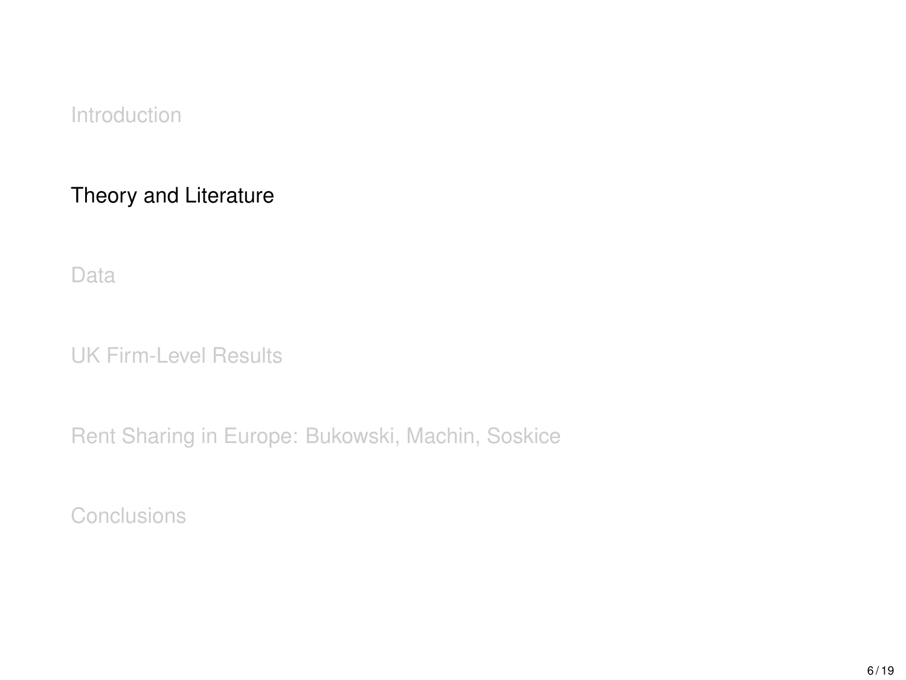<span id="page-6-0"></span>[Theory and Literature](#page-6-0)

[Data](#page-8-0)

[UK Firm-Level Results](#page-10-0)

[Rent Sharing in Europe: Bukowski, Machin, Soskice](#page-15-0)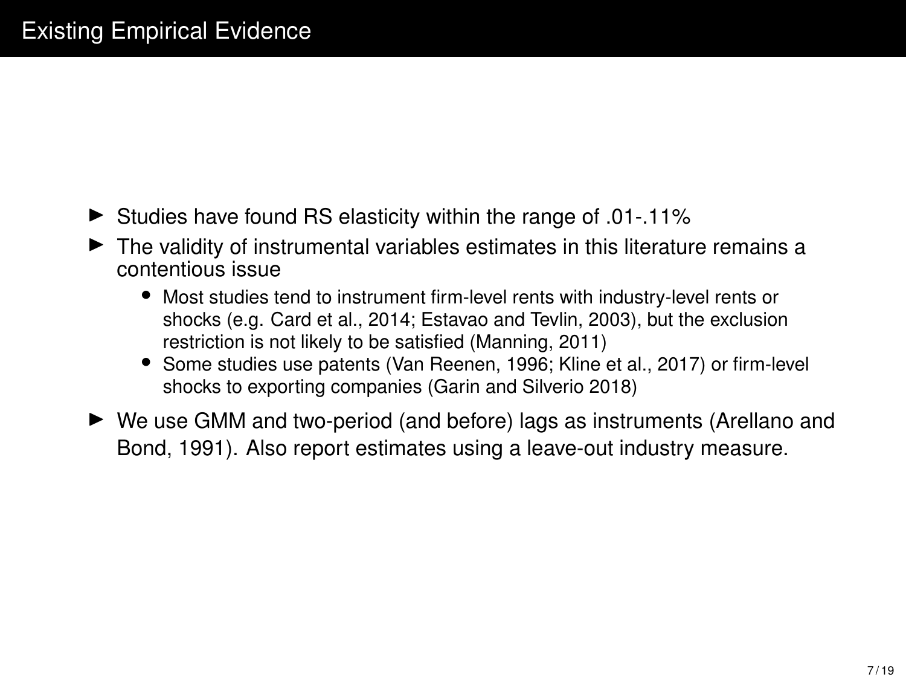- $\blacktriangleright$  Studies have found RS elasticity within the range of .01-.11%
- $\blacktriangleright$  The validity of instrumental variables estimates in this literature remains a contentious issue
	- Most studies tend to instrument firm-level rents with industry-level rents or shocks (e.g. Card et al., 2014; Estavao and Tevlin, 2003), but the exclusion restriction is not likely to be satisfied (Manning, 2011)
	- Some studies use patents (Van Reenen, 1996; Kline et al., 2017) or firm-level shocks to exporting companies (Garin and Silverio 2018)
- ► We use GMM and two-period (and before) lags as instruments (Arellano and Bond, 1991). Also report estimates using a leave-out industry measure.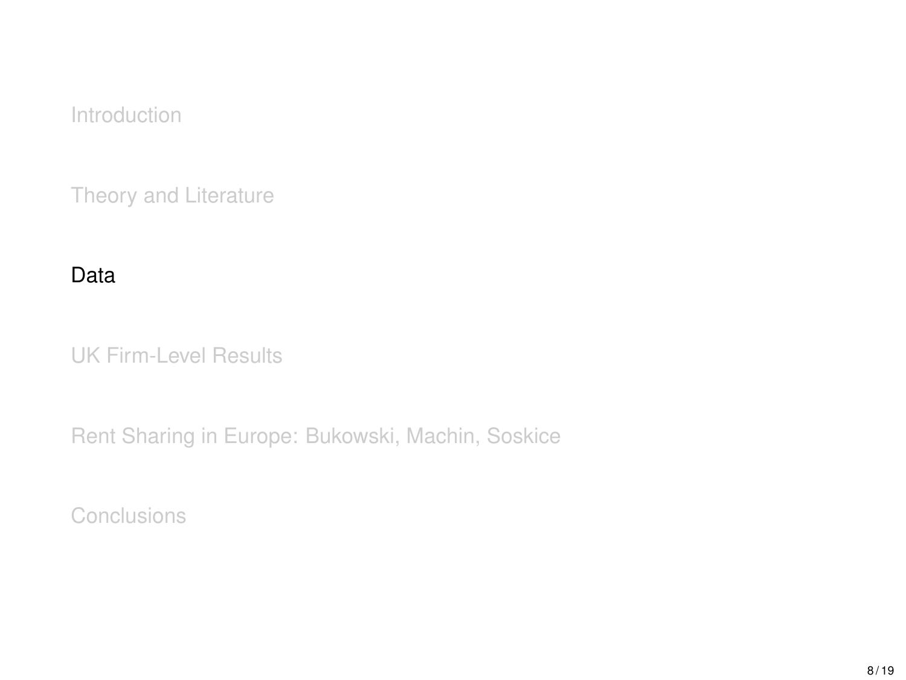<span id="page-8-0"></span>[Theory and Literature](#page-6-0)

#### [Data](#page-8-0)

[UK Firm-Level Results](#page-10-0)

[Rent Sharing in Europe: Bukowski, Machin, Soskice](#page-15-0)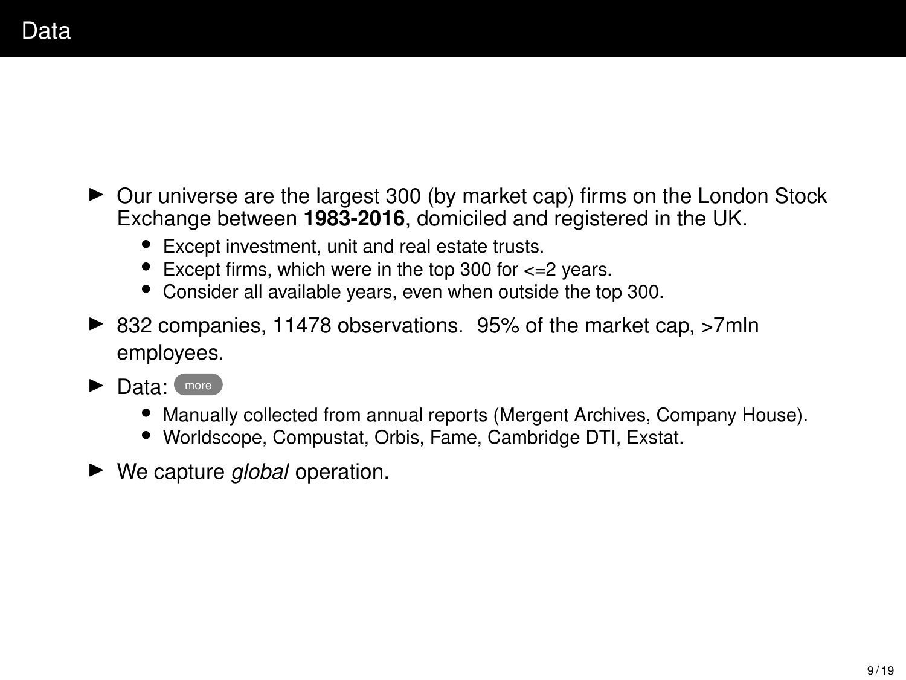- $\triangleright$  Our universe are the largest 300 (by market cap) firms on the London Stock Exchange between **1983-2016**, domiciled and registered in the UK.
	- Except investment, unit and real estate trusts.
	- Except firms, which were in the top 300 for  $\epsilon$ =2 years.
	- Consider all available years, even when outside the top 300.
- ▶ 832 companies, 11478 observations. 95% of the market cap, >7mln employees.
- $\blacktriangleright$  Data:  $(more)$  $(more)$  $(more)$ 
	- Manually collected from annual reports (Mergent Archives, Company House).
	- Worldscope, Compustat, Orbis, Fame, Cambridge DTI, Exstat.
- ► We capture *global* operation.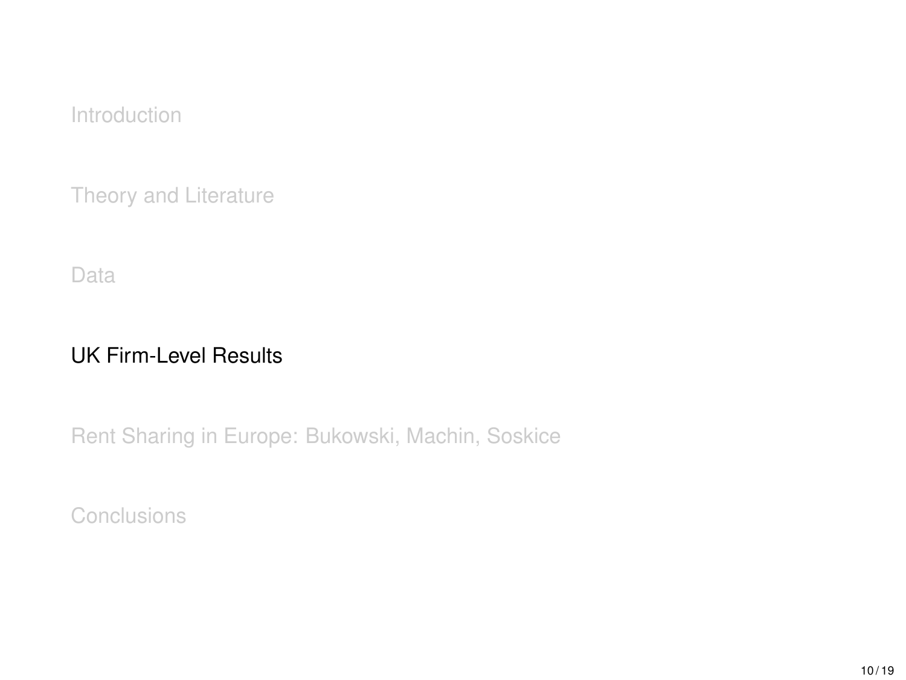<span id="page-10-0"></span>[Theory and Literature](#page-6-0)

[Data](#page-8-0)

## [UK Firm-Level Results](#page-10-0)

[Rent Sharing in Europe: Bukowski, Machin, Soskice](#page-15-0)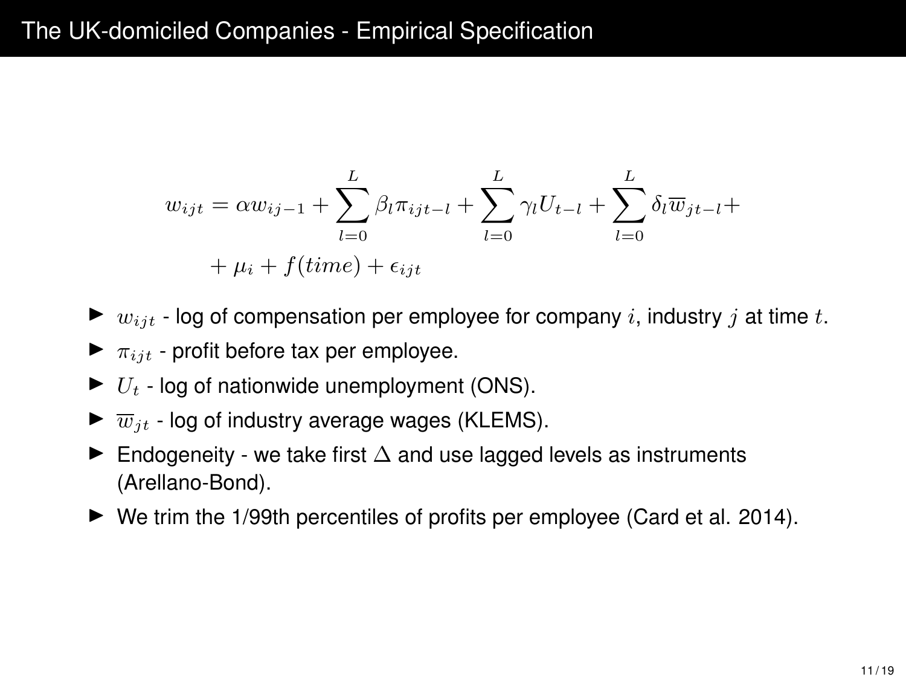## The UK-domiciled Companies - Empirical Specification

$$
w_{ijt} = \alpha w_{ij-1} + \sum_{l=0}^{L} \beta_l \pi_{ijt-l} + \sum_{l=0}^{L} \gamma_l U_{t-l} + \sum_{l=0}^{L} \delta_l \overline{w}_{jt-l} + \mu_i + f(time) + \epsilon_{ijt}
$$

- $\triangleright$  *w*<sub>ijt</sub> log of compensation per employee for company *i*, industry *j* at time *t*.
- $\blacktriangleright$   $\pi_{ijt}$  profit before tax per employee.
- $\blacktriangleright$   $U_t$  log of nationwide unemployment (ONS).
- $\blacktriangleright \overline{w}_{it}$  log of industry average wages (KLEMS).
- $\blacktriangleright$  Endogeneity we take first  $\Delta$  and use lagged levels as instruments (Arellano-Bond).
- $\blacktriangleright$  We trim the 1/99th percentiles of profits per employee (Card et al. 2014).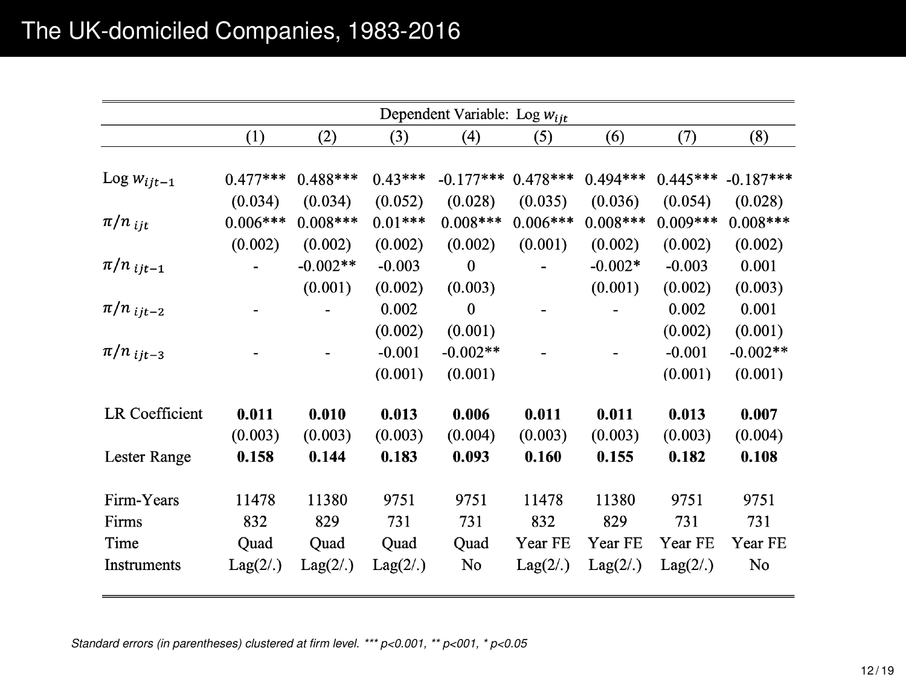|                       |            |            |           | Dependent Variable: Log $w_{ijt}$ |            |            |            |             |
|-----------------------|------------|------------|-----------|-----------------------------------|------------|------------|------------|-------------|
|                       | (1)        | (2)        | (3)       | (4)                               | (5)        | (6)        | (7)        | (8)         |
|                       |            |            |           |                                   |            |            |            |             |
| Log $w_{ijt-1}$       | $0.477***$ | $0.488***$ | $0.43***$ | $-0.177***$                       | $0.478***$ | $0.494***$ | $0.445***$ | $-0.187***$ |
|                       | (0.034)    | (0.034)    | (0.052)   | (0.028)                           | (0.035)    | (0.036)    | (0.054)    | (0.028)     |
| $\pi/n$ iit           | $0.006***$ | $0.008***$ | $0.01***$ | $0.008***$                        | $0.006***$ | $0.008***$ | $0.009***$ | $0.008***$  |
|                       | (0.002)    | (0.002)    | (0.002)   | (0.002)                           | (0.001)    | (0.002)    | (0.002)    | (0.002)     |
| $\pi/n$ ijt-1         |            | $-0.002**$ | $-0.003$  | $\mathbf{0}$                      |            | $-0.002*$  | $-0.003$   | 0.001       |
|                       |            | (0.001)    | (0.002)   | (0.003)                           |            | (0.001)    | (0.002)    | (0.003)     |
| $\pi/n$ ijt-2         |            |            | 0.002     | $\bf{0}$                          |            |            | 0.002      | 0.001       |
|                       |            |            | (0.002)   | (0.001)                           |            |            | (0.002)    | (0.001)     |
| $\pi/n$ ijt-3         |            |            | $-0.001$  | $-0.002**$                        |            |            | $-0.001$   | $-0.002**$  |
|                       |            |            | (0.001)   | (0.001)                           |            |            | (0.001)    | (0.001)     |
| <b>LR</b> Coefficient | 0.011      | 0.010      | 0.013     | 0.006                             | 0.011      | 0.011      | 0.013      | 0.007       |
|                       | (0.003)    | (0.003)    | (0.003)   | (0.004)                           | (0.003)    | (0.003)    | (0.003)    | (0.004)     |
| Lester Range          | 0.158      | 0.144      | 0.183     | 0.093                             | 0.160      | 0.155      | 0.182      | 0.108       |
|                       |            |            |           |                                   |            |            |            |             |
| Firm-Years            | 11478      | 11380      | 9751      | 9751                              | 11478      | 11380      | 9751       | 9751        |
| Firms                 | 832        | 829        | 731       | 731                               | 832        | 829        | 731        | 731         |
| Time                  | Quad       | Quad       | Quad      | Quad                              | Year FE    | Year FE    | Year FE    | Year FE     |
| Instruments           | Lag(2/.)   | Lag(2/.)   | Lag(2/.)  | No                                | Lag(2/.)   | Lag(2/.)   | Lag(2/.)   | No          |

*Standard errors (in parentheses) clustered at firm level. \*\*\* p<0.001, \*\* p<001, \* p<0.05*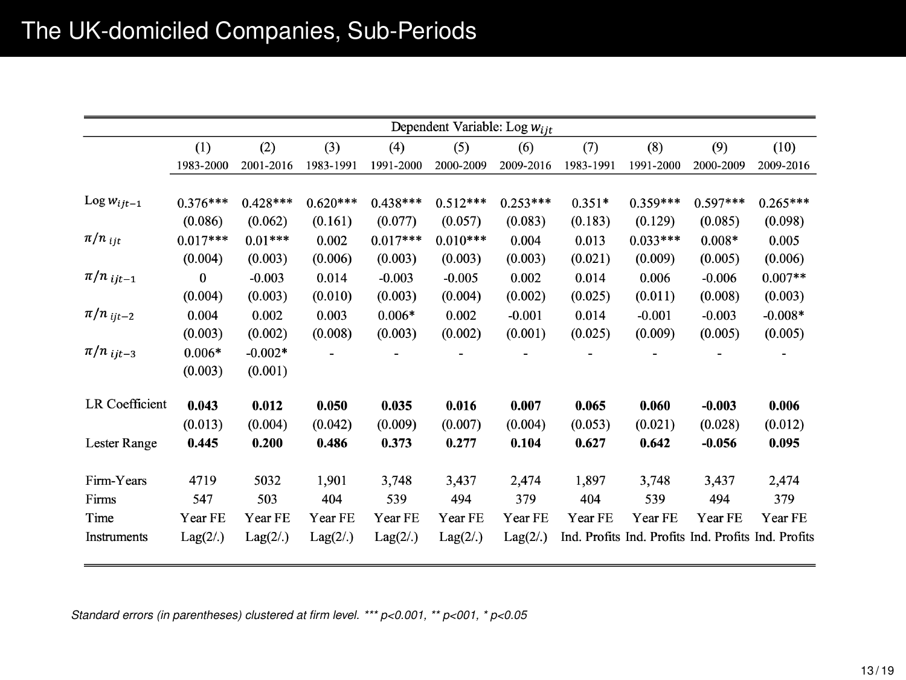|                       | Dependent Variable: Log Wijt |            |            |            |            |            |           |                                                     |            |            |
|-----------------------|------------------------------|------------|------------|------------|------------|------------|-----------|-----------------------------------------------------|------------|------------|
|                       | (1)                          | (2)        | (3)        | (4)        | (5)        | (6)        | (7)       | (8)                                                 | (9)        | (10)       |
|                       | 1983-2000                    | 2001-2016  | 1983-1991  | 1991-2000  | 2000-2009  | 2009-2016  | 1983-1991 | 1991-2000                                           | 2000-2009  | 2009-2016  |
|                       |                              |            |            |            |            |            |           |                                                     |            |            |
| Log $w_{ijt-1}$       | $0.376***$                   | $0.428***$ | $0.620***$ | $0.438***$ | $0.512***$ | $0.253***$ | $0.351*$  | $0.359***$                                          | $0.597***$ | $0.265***$ |
|                       | (0.086)                      | (0.062)    | (0.161)    | (0.077)    | (0.057)    | (0.083)    | (0.183)   | (0.129)                                             | (0.085)    | (0.098)    |
| $\pi/n_{ijt}$         | $0.017***$                   | $0.01***$  | 0.002      | $0.017***$ | $0.010***$ | 0.004      | 0.013     | $0.033***$                                          | $0.008*$   | 0.005      |
|                       | (0.004)                      | (0.003)    | (0.006)    | (0.003)    | (0.003)    | (0.003)    | (0.021)   | (0.009)                                             | (0.005)    | (0.006)    |
| $\pi/n$ ijt-1         | $\bf{0}$                     | $-0.003$   | 0.014      | $-0.003$   | $-0.005$   | 0.002      | 0.014     | 0.006                                               | $-0.006$   | $0.007**$  |
|                       | (0.004)                      | (0.003)    | (0.010)    | (0.003)    | (0.004)    | (0.002)    | (0.025)   | (0.011)                                             | (0.008)    | (0.003)    |
| $\pi/n$ ijt-2         | 0.004                        | 0.002      | 0.003      | $0.006*$   | 0.002      | $-0.001$   | 0.014     | $-0.001$                                            | $-0.003$   | $-0.008*$  |
|                       | (0.003)                      | (0.002)    | (0.008)    | (0.003)    | (0.002)    | (0.001)    | (0.025)   | (0.009)                                             | (0.005)    | (0.005)    |
| $\pi/n$ ijt-3         | $0.006*$                     | $-0.002*$  |            |            |            |            |           |                                                     |            |            |
|                       | (0.003)                      | (0.001)    |            |            |            |            |           |                                                     |            |            |
| <b>LR</b> Coefficient | 0.043                        | 0.012      | 0.050      | 0.035      | 0.016      | 0.007      | 0.065     | 0.060                                               | $-0.003$   | 0.006      |
|                       | (0.013)                      | (0.004)    | (0.042)    | (0.009)    | (0.007)    | (0.004)    | (0.053)   | (0.021)                                             | (0.028)    | (0.012)    |
| Lester Range          | 0.445                        | 0.200      | 0.486      | 0.373      | 0.277      | 0.104      | 0.627     | 0.642                                               | $-0.056$   | 0.095      |
| Firm-Years            | 4719                         | 5032       | 1,901      | 3,748      | 3,437      | 2,474      | 1,897     | 3,748                                               | 3,437      | 2,474      |
| Firms                 | 547                          | 503        | 404        | 539        | 494        | 379        | 404       | 539                                                 | 494        | 379        |
| Time                  | Year FE                      | Year FE    | Year FE    | Year FE    | Year FE    | Year FE    | Year FE   | Year FE                                             | Year FE    | Year FE    |
| Instruments           | Lag(2/.)                     | Lag(2/.)   | Lag(2/.)   | Lag(2/.)   | Lag(2/.)   | Lag(2/.)   |           | Ind. Profits Ind. Profits Ind. Profits Ind. Profits |            |            |

*Standard errors (in parentheses) clustered at firm level. \*\*\* p<0.001, \*\* p<001, \* p<0.05*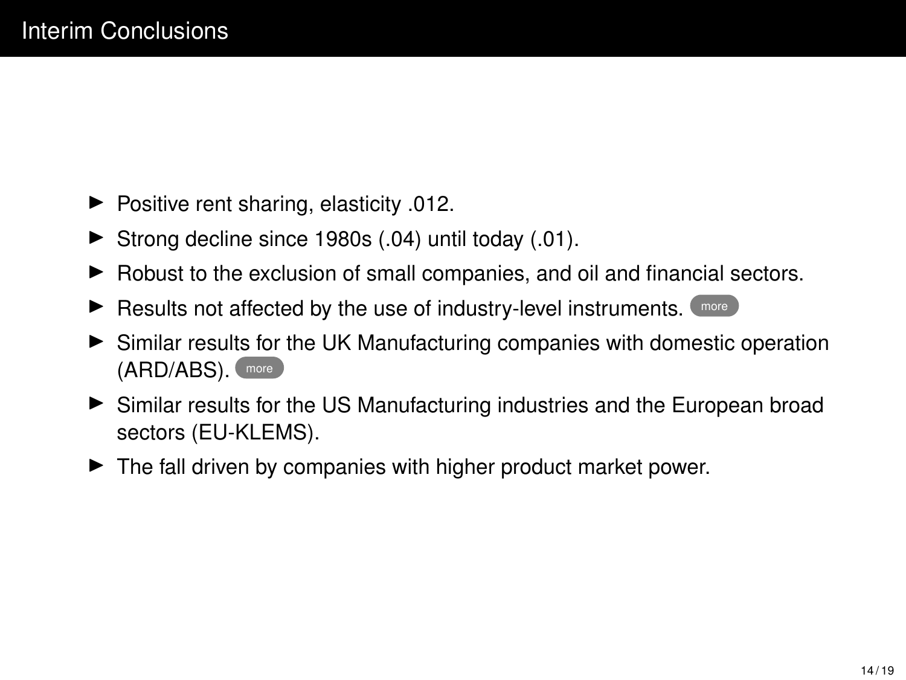- $\blacktriangleright$  Positive rent sharing, elasticity .012.
- $\blacktriangleright$  Strong decline since 1980s (.04) until today (.01).
- $\blacktriangleright$  Robust to the exclusion of small companies, and oil and financial sectors.
- $\blacktriangleright$  Results not affected by the use of industry-level instruments.  $\Box$  [more](#page-0-0)
- ► Similar results for the UK Manufacturing companies with domestic operation (ARD/ABS). [more](#page-0-0)
- In Similar results for the US Manufacturing industries and the European broad sectors (EU-KLEMS).
- $\blacktriangleright$  The fall driven by companies with higher product market power.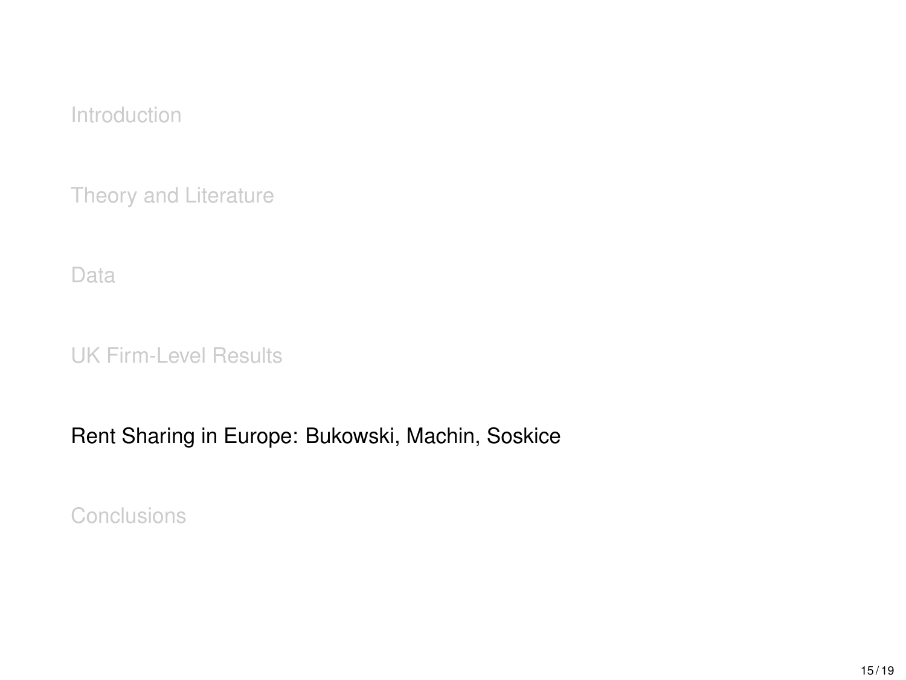<span id="page-15-0"></span>[Theory and Literature](#page-6-0)

[Data](#page-8-0)

[UK Firm-Level Results](#page-10-0)

### [Rent Sharing in Europe: Bukowski, Machin, Soskice](#page-15-0)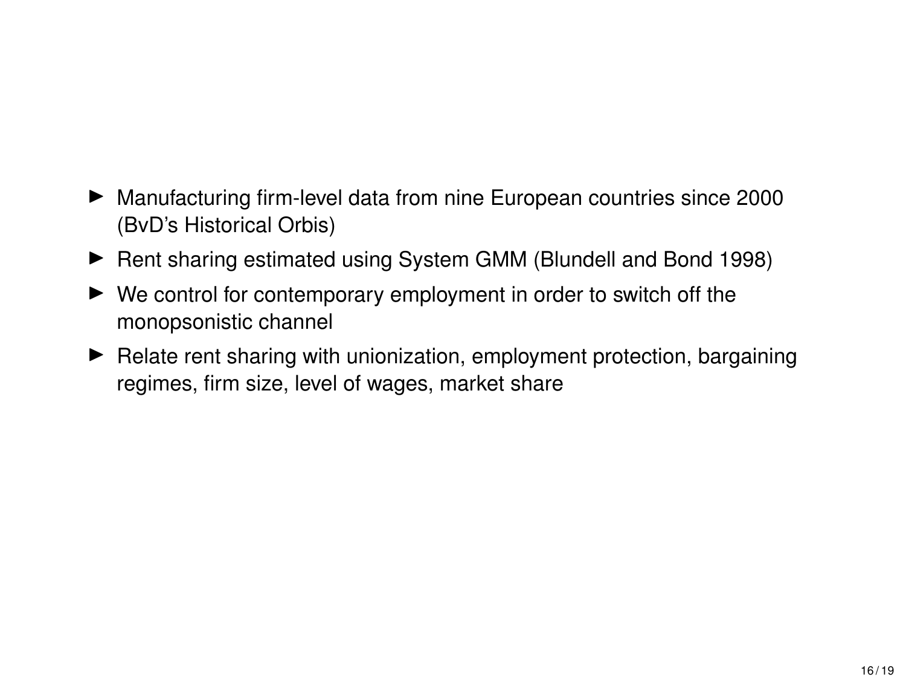- ▶ Manufacturing firm-level data from nine European countries since 2000 (BvD's Historical Orbis)
- ▶ Rent sharing estimated using System GMM (Blundell and Bond 1998)
- $\blacktriangleright$  We control for contemporary employment in order to switch off the monopsonistic channel
- $\blacktriangleright$  Relate rent sharing with unionization, employment protection, bargaining regimes, firm size, level of wages, market share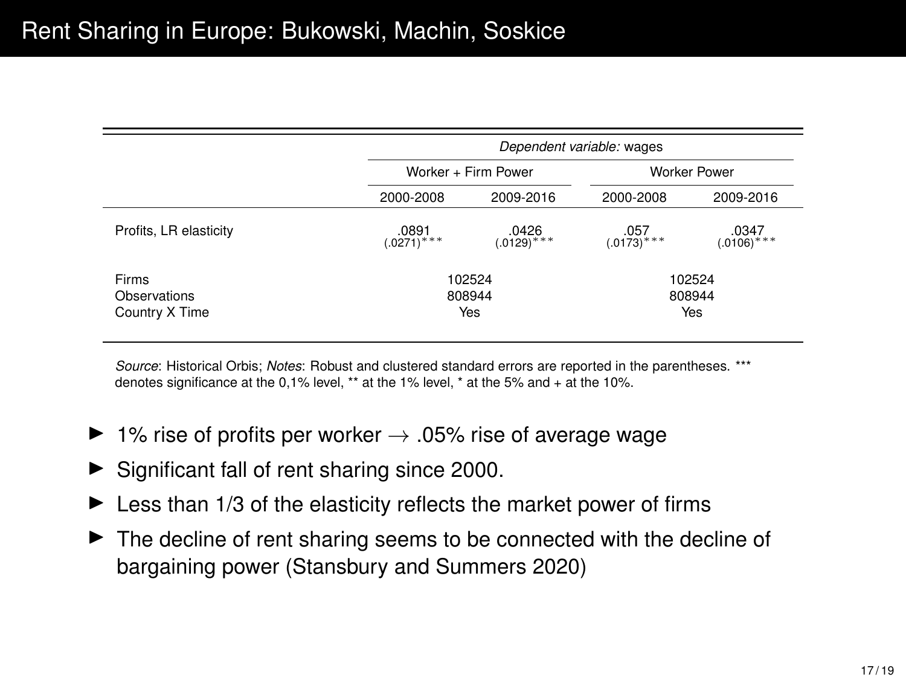|                                         |                      | Dependent variable: wages |                         |                       |  |  |  |  |
|-----------------------------------------|----------------------|---------------------------|-------------------------|-----------------------|--|--|--|--|
|                                         |                      | Worker + Firm Power       | Worker Power            |                       |  |  |  |  |
|                                         | 2000-2008            | 2009-2016                 | 2000-2008               | 2009-2016             |  |  |  |  |
| Profits, LR elasticity                  | $0891$<br>(.0271)*** |                           | $.057$<br>(.0173)***    | $.0347$<br>(.0106)*** |  |  |  |  |
| Firms<br>Observations<br>Country X Time |                      | 102524<br>808944<br>Yes   | 102524<br>808944<br>Yes |                       |  |  |  |  |

*Source*: Historical Orbis; *Notes*: Robust and clustered standard errors are reported in the parentheses. \*\*\* denotes significance at the 0,1% level, \*\* at the 1% level, \* at the 5% and + at the 10%.

- $\blacktriangleright$  1% rise of profits per worker  $\rightarrow$  .05% rise of average wage
- $\blacktriangleright$  Significant fall of rent sharing since 2000.
- $\blacktriangleright$  Less than 1/3 of the elasticity reflects the market power of firms
- $\blacktriangleright$  The decline of rent sharing seems to be connected with the decline of bargaining power (Stansbury and Summers 2020)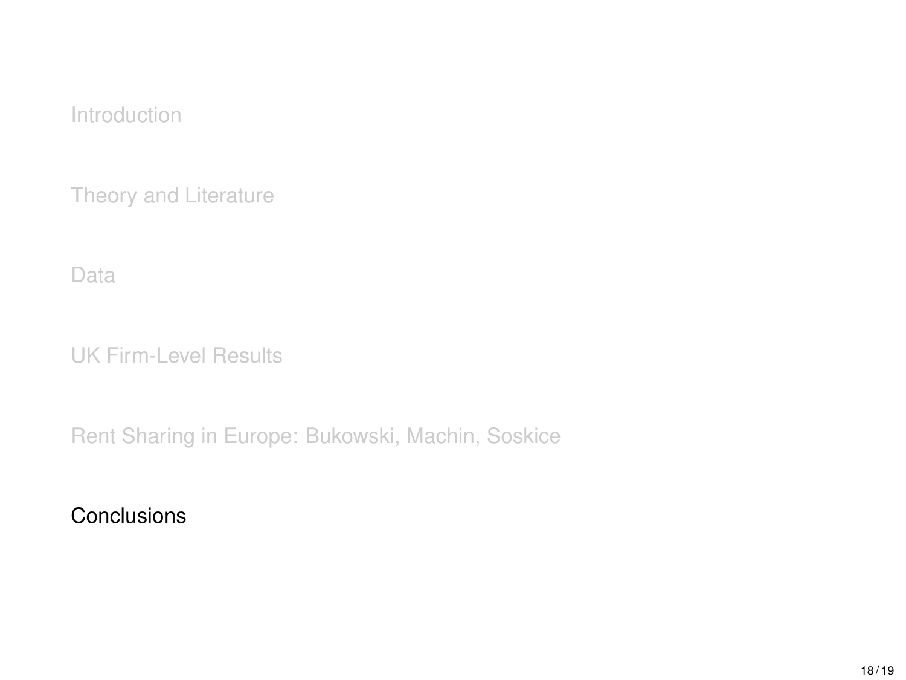<span id="page-18-0"></span>[Theory and Literature](#page-6-0)

[Data](#page-8-0)

[UK Firm-Level Results](#page-10-0)

[Rent Sharing in Europe: Bukowski, Machin, Soskice](#page-15-0)